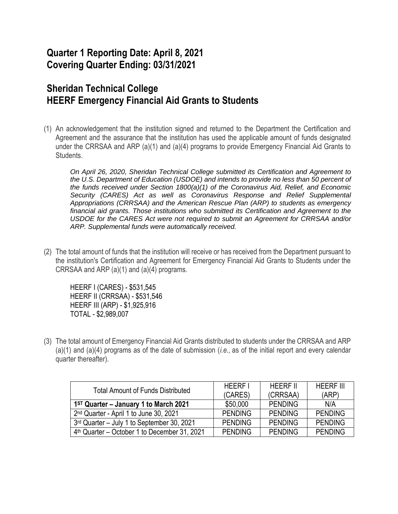## **Quarter 1 Reporting Date: April 8, 2021 Covering Quarter Ending: 03/31/2021**

## **Sheridan Technical College HEERF Emergency Financial Aid Grants to Students**

(1) An acknowledgement that the institution signed and returned to the Department the Certification and Agreement and the assurance that the institution has used the applicable amount of funds designated under the CRRSAA and ARP (a)(1) and (a)(4) programs to provide Emergency Financial Aid Grants to Students.

*On April 26, 2020, Sheridan Technical College submitted its Certification and Agreement to the U.S. Department of Education (USDOE) and intends to provide no less than 50 percent of the funds received under Section 1800(a)(1) of the Coronavirus Aid, Relief, and Economic Security (CARES) Act as well as Coronavirus Response and Relief Supplemental Appropriations (CRRSAA) and the American Rescue Plan (ARP) to students as emergency financial aid grants. Those institutions who submitted its Certification and Agreement to the USDOE for the CARES Act were not required to submit an Agreement for CRRSAA and/or ARP. Supplemental funds were automatically received.*

(2) The total amount of funds that the institution will receive or has received from the Department pursuant to the institution's Certification and Agreement for Emergency Financial Aid Grants to Students under the CRRSAA and ARP (a)(1) and (a)(4) programs.

HEERF I (CARES) - \$531,545 HEERF II (CRRSAA) - \$531,546 HEERF III (ARP) - \$1,925,916 TOTAL - \$2,989,007

(3) The total amount of Emergency Financial Aid Grants distributed to students under the CRRSAA and ARP (a)(1) and (a)(4) programs as of the date of submission (*i.e.,* as of the initial report and every calendar quarter thereafter).

| <b>Total Amount of Funds Distributed</b>                 | <b>HEERF I</b> | <b>HEERF II</b> | <b>HEERF III</b> |
|----------------------------------------------------------|----------------|-----------------|------------------|
|                                                          | (CARES)        | (CRRSAA)        | (ARP)            |
| $1ST$ Quarter – January 1 to March 2021                  | \$50,000       | <b>PENDING</b>  | N/A              |
| 2 <sup>nd</sup> Quarter - April 1 to June 30, 2021       | <b>PENDING</b> | <b>PENDING</b>  | <b>PENDING</b>   |
| 3rd Quarter - July 1 to September 30, 2021               | <b>PENDING</b> | <b>PENDING</b>  | <b>PENDING</b>   |
| 4 <sup>th</sup> Quarter – October 1 to December 31, 2021 | <b>PENDING</b> | <b>PENDING</b>  | <b>PENDING</b>   |